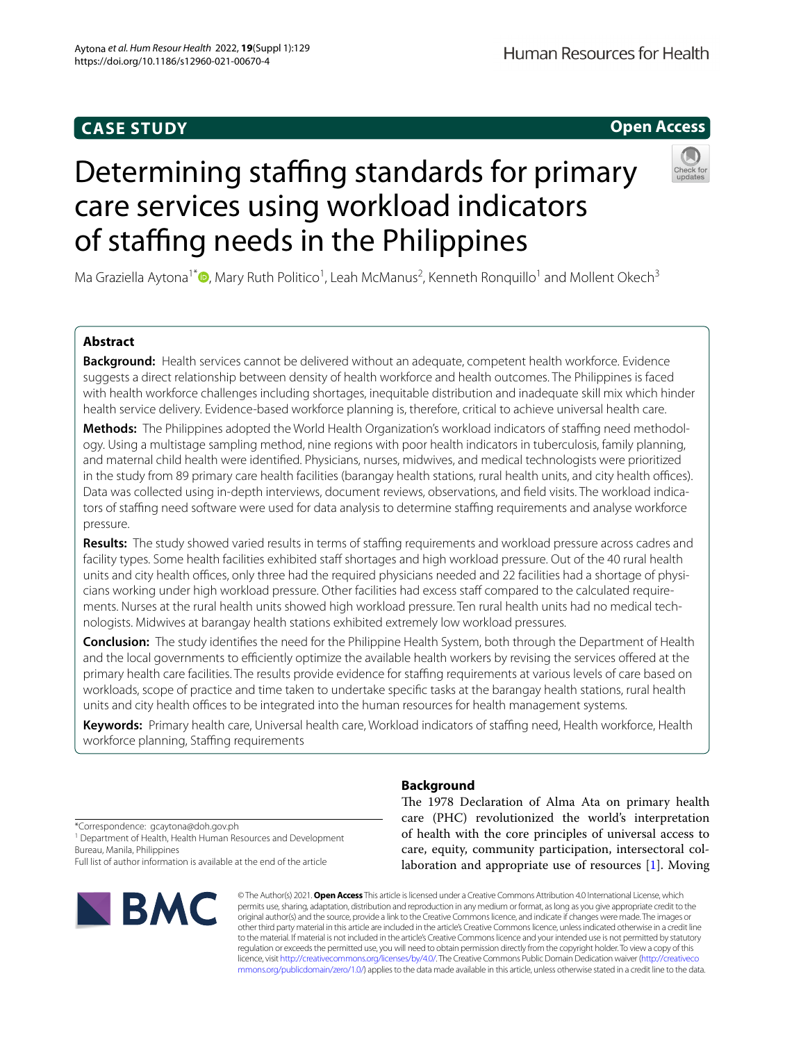# **CASE STUDY**

# Determining staffing standards for primary care services using workload indicators of staffing needs in the Philippines

Ma Graziella Aytona<sup>1\*</sup><sup>®</sup>[,](http://orcid.org/0000-0001-6355-9256) Mary Ruth Politico<sup>1</sup>, Leah McManus<sup>2</sup>, Kenneth Ronquillo<sup>1</sup> and Mollent Okech<sup>3</sup>

# **Abstract**

**Background:** Health services cannot be delivered without an adequate, competent health workforce. Evidence suggests a direct relationship between density of health workforce and health outcomes. The Philippines is faced with health workforce challenges including shortages, inequitable distribution and inadequate skill mix which hinder health service delivery. Evidence-based workforce planning is, therefore, critical to achieve universal health care.

**Methods:** The Philippines adopted the World Health Organization's workload indicators of stafng need methodology. Using a multistage sampling method, nine regions with poor health indicators in tuberculosis, family planning, and maternal child health were identifed. Physicians, nurses, midwives, and medical technologists were prioritized in the study from 89 primary care health facilities (barangay health stations, rural health units, and city health offices). Data was collected using in-depth interviews, document reviews, observations, and feld visits. The workload indicators of staffing need software were used for data analysis to determine staffing requirements and analyse workforce pressure.

**Results:** The study showed varied results in terms of staffing requirements and workload pressure across cadres and facility types. Some health facilities exhibited staff shortages and high workload pressure. Out of the 40 rural health units and city health offices, only three had the required physicians needed and 22 facilities had a shortage of physicians working under high workload pressure. Other facilities had excess staf compared to the calculated requirements. Nurses at the rural health units showed high workload pressure. Ten rural health units had no medical technologists. Midwives at barangay health stations exhibited extremely low workload pressures.

**Conclusion:** The study identifes the need for the Philippine Health System, both through the Department of Health and the local governments to efficiently optimize the available health workers by revising the services offered at the primary health care facilities. The results provide evidence for staffing requirements at various levels of care based on workloads, scope of practice and time taken to undertake specifc tasks at the barangay health stations, rural health units and city health offices to be integrated into the human resources for health management systems.

**Keywords:** Primary health care, Universal health care, Workload indicators of stafng need, Health workforce, Health workforce planning, Staffing requirements

**Background**

The 1978 Declaration of Alma Ata on primary health care (PHC) revolutionized the world's interpretation of health with the core principles of universal access to care, equity, community participation, intersectoral collaboration and appropriate use of resources [\[1](#page-13-0)]. Moving

© The Author(s) 2021. **Open Access** This article is licensed under a Creative Commons Attribution 4.0 International License, which permits use, sharing, adaptation, distribution and reproduction in any medium or format, as long as you give appropriate credit to the original author(s) and the source, provide a link to the Creative Commons licence, and indicate if changes were made. The images or other third party material in this article are included in the article's Creative Commons licence, unless indicated otherwise in a credit line to the material. If material is not included in the article's Creative Commons licence and your intended use is not permitted by statutory regulation or exceeds the permitted use, you will need to obtain permission directly from the copyright holder. To view a copy of this licence, visit [http://creativecommons.org/licenses/by/4.0/.](http://creativecommons.org/licenses/by/4.0/) The Creative Commons Public Domain Dedication waiver ([http://creativeco](http://creativecommons.org/publicdomain/zero/1.0/) [mmons.org/publicdomain/zero/1.0/](http://creativecommons.org/publicdomain/zero/1.0/)) applies to the data made available in this article, unless otherwise stated in a credit line to the data.

# \*Correspondence: gcaytona@doh.gov.ph

<sup>1</sup> Department of Health, Health Human Resources and Development Bureau, Manila, Philippines

Full list of author information is available at the end of the article





# **Open Access**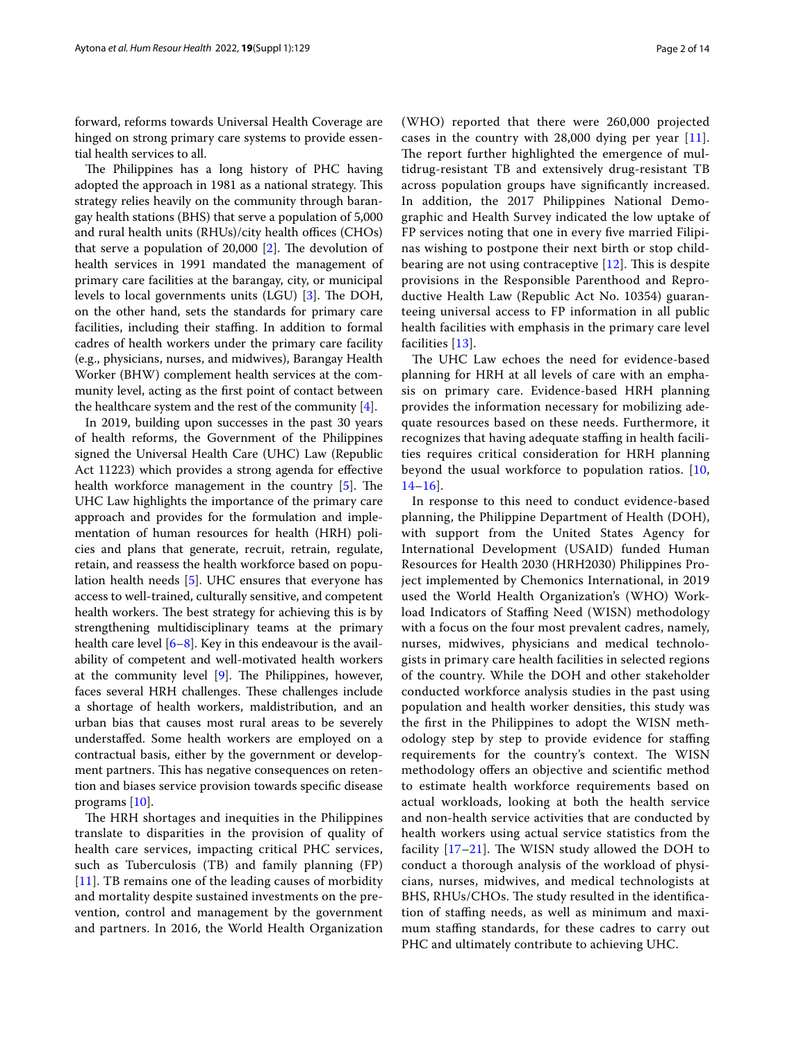forward, reforms towards Universal Health Coverage are hinged on strong primary care systems to provide essential health services to all.

The Philippines has a long history of PHC having adopted the approach in 1981 as a national strategy. This strategy relies heavily on the community through barangay health stations (BHS) that serve a population of 5,000 and rural health units  $(RHUs)/city$  health offices  $(CHOs)$ that serve a population of  $20,000$  [\[2](#page-13-1)]. The devolution of health services in 1991 mandated the management of primary care facilities at the barangay, city, or municipal levels to local governments units  $(LGU)$  [[3](#page-13-2)]. The DOH, on the other hand, sets the standards for primary care facilities, including their staffing. In addition to formal cadres of health workers under the primary care facility (e.g., physicians, nurses, and midwives), Barangay Health Worker (BHW) complement health services at the community level, acting as the frst point of contact between the healthcare system and the rest of the community [\[4](#page-13-3)].

In 2019, building upon successes in the past 30 years of health reforms, the Government of the Philippines signed the Universal Health Care (UHC) Law (Republic Act 11223) which provides a strong agenda for efective health workforce management in the country  $[5]$  $[5]$ . The UHC Law highlights the importance of the primary care approach and provides for the formulation and implementation of human resources for health (HRH) policies and plans that generate, recruit, retrain, regulate, retain, and reassess the health workforce based on population health needs [\[5\]](#page-13-4). UHC ensures that everyone has access to well-trained, culturally sensitive, and competent health workers. The best strategy for achieving this is by strengthening multidisciplinary teams at the primary health care level [[6–](#page-13-5)[8](#page-13-6)]. Key in this endeavour is the availability of competent and well-motivated health workers at the community level  $[9]$  $[9]$ . The Philippines, however, faces several HRH challenges. These challenges include a shortage of health workers, maldistribution, and an urban bias that causes most rural areas to be severely understafed. Some health workers are employed on a contractual basis, either by the government or development partners. This has negative consequences on retention and biases service provision towards specifc disease programs [\[10](#page-13-8)].

The HRH shortages and inequities in the Philippines translate to disparities in the provision of quality of health care services, impacting critical PHC services, such as Tuberculosis (TB) and family planning (FP) [[11](#page-13-9)]. TB remains one of the leading causes of morbidity and mortality despite sustained investments on the prevention, control and management by the government and partners. In 2016, the World Health Organization (WHO) reported that there were 260,000 projected cases in the country with 28,000 dying per year [[11](#page-13-9)]. The report further highlighted the emergence of multidrug-resistant TB and extensively drug-resistant TB across population groups have signifcantly increased. In addition, the 2017 Philippines National Demographic and Health Survey indicated the low uptake of FP services noting that one in every fve married Filipinas wishing to postpone their next birth or stop childbearing are not using contraceptive  $[12]$  $[12]$ . This is despite provisions in the Responsible Parenthood and Reproductive Health Law (Republic Act No. 10354) guaranteeing universal access to FP information in all public health facilities with emphasis in the primary care level facilities [[13\]](#page-13-11).

The UHC Law echoes the need for evidence-based planning for HRH at all levels of care with an emphasis on primary care. Evidence-based HRH planning provides the information necessary for mobilizing adequate resources based on these needs. Furthermore, it recognizes that having adequate staffing in health facilities requires critical consideration for HRH planning beyond the usual workforce to population ratios. [\[10](#page-13-8),  $14-16$  $14-16$ .

In response to this need to conduct evidence-based planning, the Philippine Department of Health (DOH), with support from the United States Agency for International Development (USAID) funded Human Resources for Health 2030 (HRH2030) Philippines Project implemented by Chemonics International, in 2019 used the World Health Organization's (WHO) Workload Indicators of Staffing Need (WISN) methodology with a focus on the four most prevalent cadres, namely, nurses, midwives, physicians and medical technologists in primary care health facilities in selected regions of the country. While the DOH and other stakeholder conducted workforce analysis studies in the past using population and health worker densities, this study was the frst in the Philippines to adopt the WISN methodology step by step to provide evidence for staffing requirements for the country's context. The WISN methodology ofers an objective and scientifc method to estimate health workforce requirements based on actual workloads, looking at both the health service and non-health service activities that are conducted by health workers using actual service statistics from the facility  $[17–21]$  $[17–21]$  $[17–21]$  $[17–21]$ . The WISN study allowed the DOH to conduct a thorough analysis of the workload of physicians, nurses, midwives, and medical technologists at BHS, RHUs/CHOs. The study resulted in the identification of staffing needs, as well as minimum and maximum staffing standards, for these cadres to carry out PHC and ultimately contribute to achieving UHC.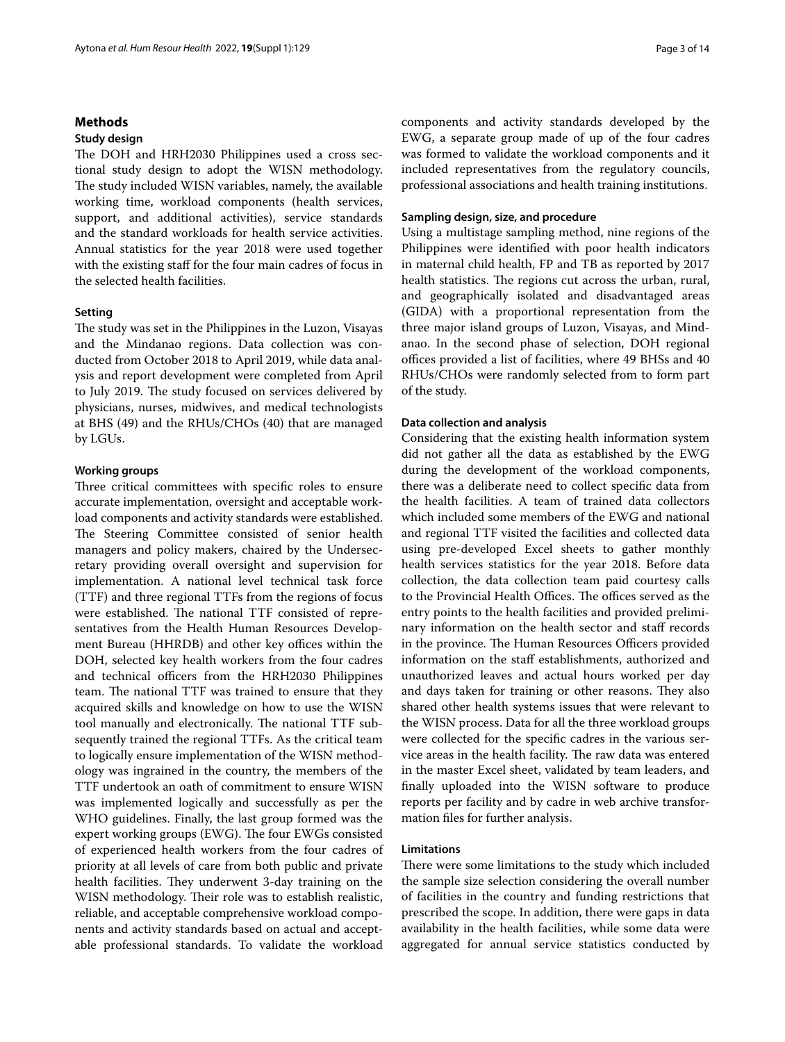# **Methods**

## **Study design**

The DOH and HRH2030 Philippines used a cross sectional study design to adopt the WISN methodology. The study included WISN variables, namely, the available working time, workload components (health services, support, and additional activities), service standards and the standard workloads for health service activities. Annual statistics for the year 2018 were used together with the existing staff for the four main cadres of focus in the selected health facilities.

## **Setting**

The study was set in the Philippines in the Luzon, Visayas and the Mindanao regions. Data collection was conducted from October 2018 to April 2019, while data analysis and report development were completed from April to July 2019. The study focused on services delivered by physicians, nurses, midwives, and medical technologists at BHS (49) and the RHUs/CHOs (40) that are managed by LGUs.

## **Working groups**

Three critical committees with specific roles to ensure accurate implementation, oversight and acceptable workload components and activity standards were established. The Steering Committee consisted of senior health managers and policy makers, chaired by the Undersecretary providing overall oversight and supervision for implementation. A national level technical task force (TTF) and three regional TTFs from the regions of focus were established. The national TTF consisted of representatives from the Health Human Resources Development Bureau (HHRDB) and other key offices within the DOH, selected key health workers from the four cadres and technical officers from the HRH2030 Philippines team. The national TTF was trained to ensure that they acquired skills and knowledge on how to use the WISN tool manually and electronically. The national TTF subsequently trained the regional TTFs. As the critical team to logically ensure implementation of the WISN methodology was ingrained in the country, the members of the TTF undertook an oath of commitment to ensure WISN was implemented logically and successfully as per the WHO guidelines. Finally, the last group formed was the expert working groups (EWG). The four EWGs consisted of experienced health workers from the four cadres of priority at all levels of care from both public and private health facilities. They underwent 3-day training on the WISN methodology. Their role was to establish realistic, reliable, and acceptable comprehensive workload components and activity standards based on actual and acceptable professional standards. To validate the workload components and activity standards developed by the EWG, a separate group made of up of the four cadres was formed to validate the workload components and it included representatives from the regulatory councils, professional associations and health training institutions.

## **Sampling design, size, and procedure**

Using a multistage sampling method, nine regions of the Philippines were identifed with poor health indicators in maternal child health, FP and TB as reported by 2017 health statistics. The regions cut across the urban, rural, and geographically isolated and disadvantaged areas (GIDA) with a proportional representation from the three major island groups of Luzon, Visayas, and Mindanao. In the second phase of selection, DOH regional offices provided a list of facilities, where 49 BHSs and 40 RHUs/CHOs were randomly selected from to form part of the study.

## **Data collection and analysis**

Considering that the existing health information system did not gather all the data as established by the EWG during the development of the workload components, there was a deliberate need to collect specifc data from the health facilities. A team of trained data collectors which included some members of the EWG and national and regional TTF visited the facilities and collected data using pre-developed Excel sheets to gather monthly health services statistics for the year 2018. Before data collection, the data collection team paid courtesy calls to the Provincial Health Offices. The offices served as the entry points to the health facilities and provided preliminary information on the health sector and staff records in the province. The Human Resources Officers provided information on the staff establishments, authorized and unauthorized leaves and actual hours worked per day and days taken for training or other reasons. They also shared other health systems issues that were relevant to the WISN process. Data for all the three workload groups were collected for the specifc cadres in the various service areas in the health facility. The raw data was entered in the master Excel sheet, validated by team leaders, and fnally uploaded into the WISN software to produce reports per facility and by cadre in web archive transformation fles for further analysis.

# **Limitations**

There were some limitations to the study which included the sample size selection considering the overall number of facilities in the country and funding restrictions that prescribed the scope. In addition, there were gaps in data availability in the health facilities, while some data were aggregated for annual service statistics conducted by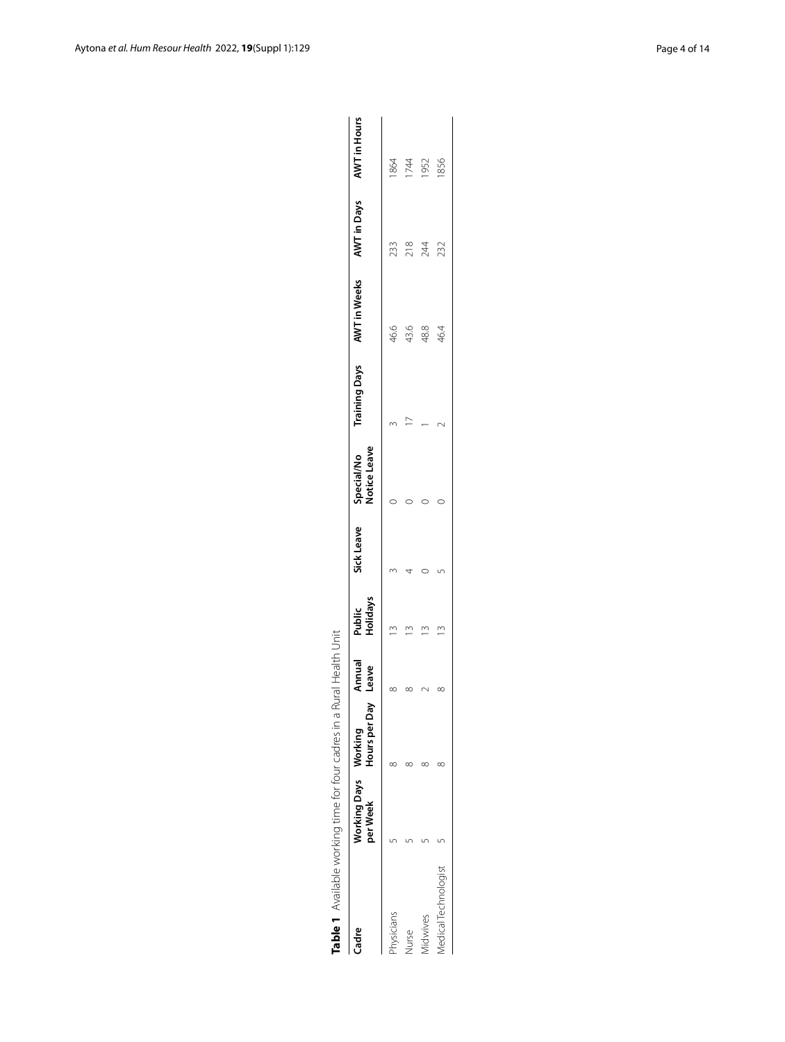| Table 1 Available working time for four cadres in a F |                                  |               | Rural Health Unit |                    |                                       |                                                     |                 |      |
|-------------------------------------------------------|----------------------------------|---------------|-------------------|--------------------|---------------------------------------|-----------------------------------------------------|-----------------|------|
| Cadre                                                 | Working Days Working<br>per Week | Hours per Day | Annual<br>Leave   | Holidays<br>Public | Notice Leave<br>Sick Leave Special/No | Training Days AWT in Weeks AWT in Days AWT in Hours |                 |      |
| hysicians                                             |                                  |               |                   |                    |                                       | 46.6                                                | 233             | 1864 |
| urse                                                  |                                  |               |                   |                    |                                       | 43.6                                                | $\frac{8}{218}$ | 1744 |
| <i><b>Nidwives</b></i>                                |                                  |               |                   |                    |                                       | 48.8                                                | 244             | 952  |
| Medical Technologist                                  |                                  |               |                   |                    |                                       | 46.4                                                | 232             | 1856 |

<span id="page-3-0"></span>Table 1 Available working time for four cadres in a Rural Health Unit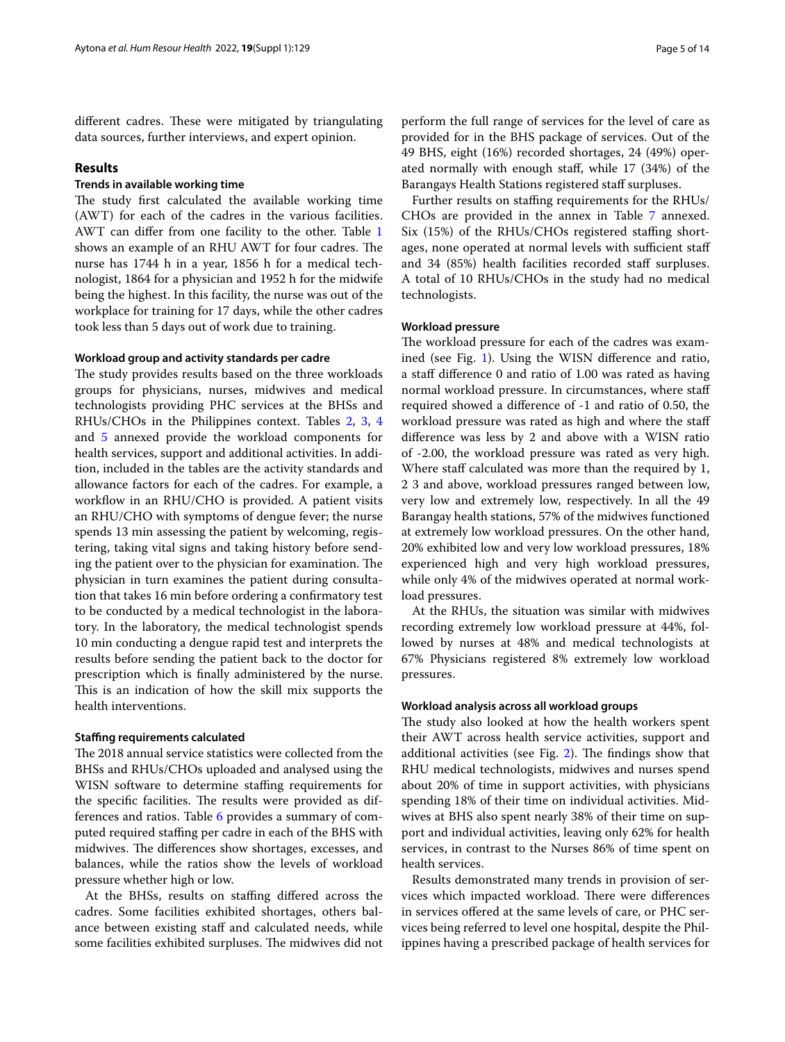different cadres. These were mitigated by triangulating data sources, further interviews, and expert opinion.

## **Results**

# **Trends in available working time**

The study first calculated the available working time (AWT) for each of the cadres in the various facilities. AWT can difer from one facility to the other. Table [1](#page-3-0) shows an example of an RHU AWT for four cadres. The nurse has 1744 h in a year, 1856 h for a medical technologist, 1864 for a physician and 1952 h for the midwife being the highest. In this facility, the nurse was out of the workplace for training for 17 days, while the other cadres took less than 5 days out of work due to training.

## **Workload group and activity standards per cadre**

The study provides results based on the three workloads groups for physicians, nurses, midwives and medical technologists providing PHC services at the BHSs and RHUs/CHOs in the Philippines context. Tables [2,](#page-5-0) [3](#page-6-0), [4](#page-7-0) and [5](#page-7-1) annexed provide the workload components for health services, support and additional activities. In addition, included in the tables are the activity standards and allowance factors for each of the cadres. For example, a workflow in an RHU/CHO is provided. A patient visits an RHU/CHO with symptoms of dengue fever; the nurse spends 13 min assessing the patient by welcoming, registering, taking vital signs and taking history before sending the patient over to the physician for examination. The physician in turn examines the patient during consultation that takes 16 min before ordering a confrmatory test to be conducted by a medical technologist in the laboratory. In the laboratory, the medical technologist spends 10 min conducting a dengue rapid test and interprets the results before sending the patient back to the doctor for prescription which is fnally administered by the nurse. This is an indication of how the skill mix supports the health interventions.

## **Stafng requirements calculated**

The 2018 annual service statistics were collected from the BHSs and RHUs/CHOs uploaded and analysed using the WISN software to determine staffing requirements for the specific facilities. The results were provided as differences and ratios. Table [6](#page-8-0) provides a summary of computed required staffing per cadre in each of the BHS with midwives. The differences show shortages, excesses, and balances, while the ratios show the levels of workload pressure whether high or low.

At the BHSs, results on stafng difered across the cadres. Some facilities exhibited shortages, others balance between existing staff and calculated needs, while some facilities exhibited surpluses. The midwives did not

perform the full range of services for the level of care as provided for in the BHS package of services. Out of the 49 BHS, eight (16%) recorded shortages, 24 (49%) operated normally with enough staf, while 17 (34%) of the Barangays Health Stations registered staff surpluses.

Further results on staffing requirements for the RHUs/ CHOs are provided in the annex in Table [7](#page-9-0) annexed. Six (15%) of the RHUs/CHOs registered staffing shortages, none operated at normal levels with sufficient staff and 34 (85%) health facilities recorded staff surpluses. A total of 10 RHUs/CHOs in the study had no medical technologists.

## **Workload pressure**

The workload pressure for each of the cadres was examined (see Fig. [1](#page-11-0)). Using the WISN diference and ratio, a staff difference 0 and ratio of 1.00 was rated as having normal workload pressure. In circumstances, where staf required showed a diference of -1 and ratio of 0.50, the workload pressure was rated as high and where the staf diference was less by 2 and above with a WISN ratio of -2.00, the workload pressure was rated as very high. Where staff calculated was more than the required by 1, 2 3 and above, workload pressures ranged between low, very low and extremely low, respectively. In all the 49 Barangay health stations, 57% of the midwives functioned at extremely low workload pressures. On the other hand, 20% exhibited low and very low workload pressures, 18% experienced high and very high workload pressures, while only 4% of the midwives operated at normal workload pressures.

At the RHUs, the situation was similar with midwives recording extremely low workload pressure at 44%, followed by nurses at 48% and medical technologists at 67% Physicians registered 8% extremely low workload pressures.

## **Workload analysis across all workload groups**

The study also looked at how the health workers spent their AWT across health service activities, support and additional activities (see Fig.  $2$ ). The findings show that RHU medical technologists, midwives and nurses spend about 20% of time in support activities, with physicians spending 18% of their time on individual activities. Midwives at BHS also spent nearly 38% of their time on support and individual activities, leaving only 62% for health services, in contrast to the Nurses 86% of time spent on health services.

Results demonstrated many trends in provision of services which impacted workload. There were differences in services ofered at the same levels of care, or PHC services being referred to level one hospital, despite the Philippines having a prescribed package of health services for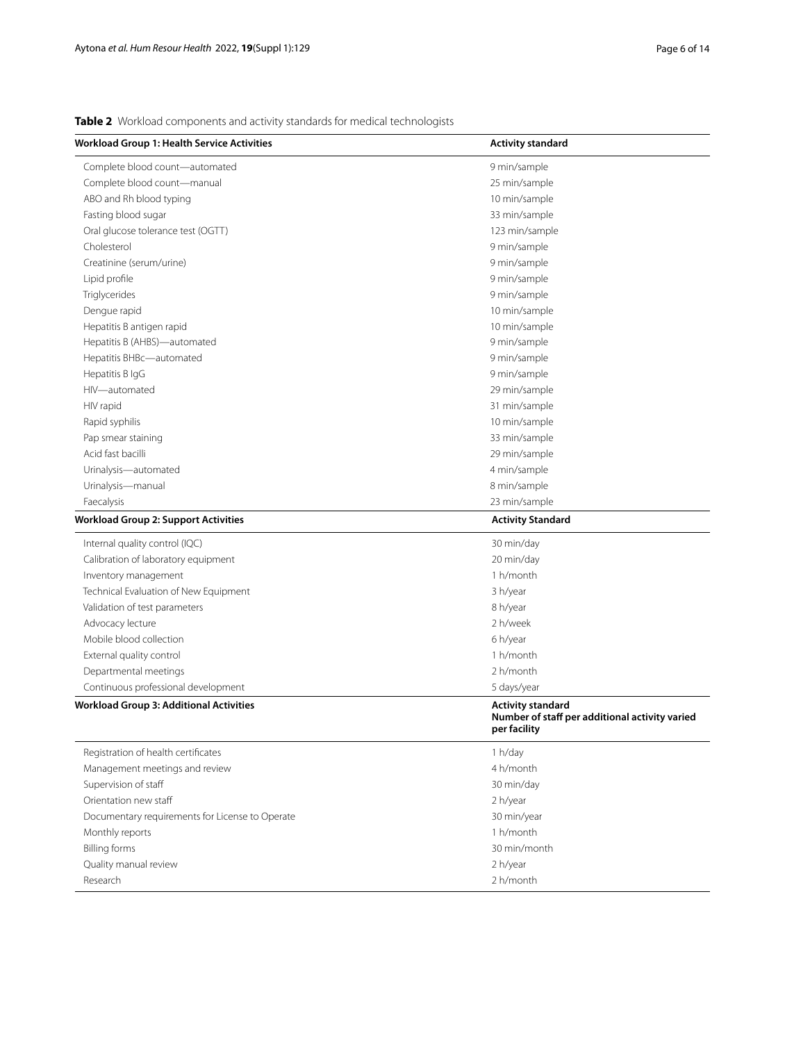<span id="page-5-0"></span>**Table 2** Workload components and activity standards for medical technologists

| <b>Workload Group 1: Health Service Activities</b>                                                             | <b>Activity standard</b>                                       |
|----------------------------------------------------------------------------------------------------------------|----------------------------------------------------------------|
| Complete blood count-automated                                                                                 | 9 min/sample                                                   |
| Complete blood count-manual                                                                                    | 25 min/sample                                                  |
| ABO and Rh blood typing                                                                                        | 10 min/sample                                                  |
| Fasting blood sugar                                                                                            | 33 min/sample                                                  |
| Oral glucose tolerance test (OGTT)                                                                             | 123 min/sample                                                 |
| Cholesterol                                                                                                    | 9 min/sample                                                   |
| Creatinine (serum/urine)                                                                                       | 9 min/sample                                                   |
| Lipid profile                                                                                                  | 9 min/sample                                                   |
| Triglycerides                                                                                                  | 9 min/sample                                                   |
| Dengue rapid                                                                                                   | 10 min/sample                                                  |
| Hepatitis B antigen rapid                                                                                      | 10 min/sample                                                  |
| Hepatitis B (AHBS)-automated                                                                                   | 9 min/sample                                                   |
| Hepatitis BHBc-automated                                                                                       | 9 min/sample                                                   |
| Hepatitis B IgG                                                                                                | 9 min/sample                                                   |
| HIV-automated                                                                                                  | 29 min/sample                                                  |
| HIV rapid                                                                                                      | 31 min/sample                                                  |
| Rapid syphilis                                                                                                 | 10 min/sample                                                  |
| Pap smear staining                                                                                             | 33 min/sample                                                  |
| Acid fast bacilli                                                                                              | 29 min/sample                                                  |
| Urinalysis-automated                                                                                           | 4 min/sample                                                   |
| Urinalysis-manual                                                                                              | 8 min/sample                                                   |
| Faecalysis                                                                                                     | 23 min/sample                                                  |
| <b>Workload Group 2: Support Activities</b>                                                                    | <b>Activity Standard</b>                                       |
| Internal quality control (IQC)                                                                                 | 30 min/day                                                     |
| Calibration of laboratory equipment                                                                            | 20 min/day                                                     |
| Inventory management                                                                                           | 1 h/month                                                      |
| Technical Evaluation of New Equipment                                                                          | 3 h/year                                                       |
| Validation of test parameters                                                                                  | 8 h/year                                                       |
| Advocacy lecture                                                                                               | 2 h/week                                                       |
| Mobile blood collection                                                                                        | 6 h/year                                                       |
| External quality control                                                                                       | 1 h/month                                                      |
|                                                                                                                |                                                                |
|                                                                                                                |                                                                |
|                                                                                                                |                                                                |
|                                                                                                                | Number of staff per additional activity varied<br>per facility |
| Registration of health certificates                                                                            | 1 h/day                                                        |
| Management meetings and review                                                                                 | 4 h/month                                                      |
| Supervision of staff                                                                                           | 30 min/day                                                     |
| Orientation new staff                                                                                          | 2 h/year                                                       |
| Documentary requirements for License to Operate                                                                | 30 min/year                                                    |
| Monthly reports                                                                                                | 1 h/month                                                      |
| <b>Billing forms</b>                                                                                           | 30 min/month                                                   |
| Quality manual review                                                                                          | 2 h/year                                                       |
| Research                                                                                                       | 2 h/month                                                      |
| Departmental meetings<br>Continuous professional development<br><b>Workload Group 3: Additional Activities</b> | 2 h/month<br>5 days/year<br><b>Activity standard</b>           |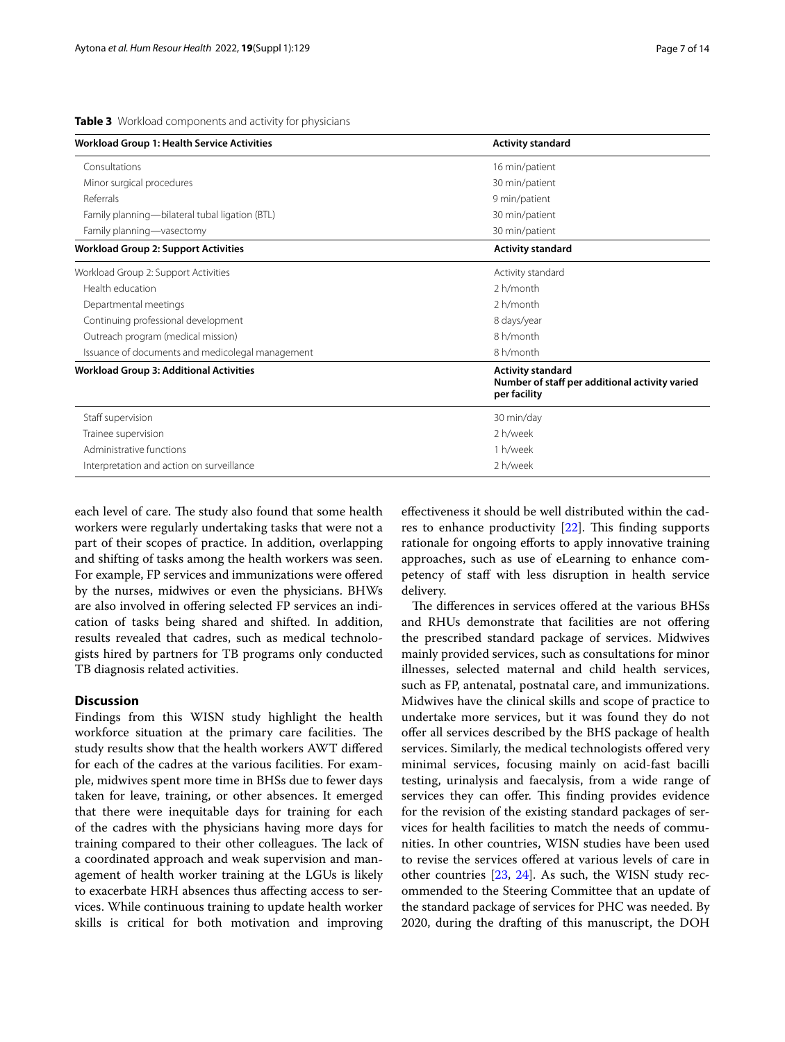<span id="page-6-0"></span>**Table 3** Workload components and activity for physicians

| <b>Workload Group 1: Health Service Activities</b> | <b>Activity standard</b>                                                                   |
|----------------------------------------------------|--------------------------------------------------------------------------------------------|
| Consultations                                      | 16 min/patient                                                                             |
| Minor surgical procedures                          | 30 min/patient                                                                             |
| Referrals                                          | 9 min/patient                                                                              |
| Family planning—bilateral tubal ligation (BTL)     | 30 min/patient                                                                             |
| Family planning-vasectomy                          | 30 min/patient                                                                             |
| <b>Workload Group 2: Support Activities</b>        | <b>Activity standard</b>                                                                   |
| Workload Group 2: Support Activities               | Activity standard                                                                          |
| Health education                                   | 2 h/month                                                                                  |
| Departmental meetings                              | 2 h/month                                                                                  |
| Continuing professional development                | 8 days/year                                                                                |
| Outreach program (medical mission)                 | 8 h/month                                                                                  |
| Issuance of documents and medicolegal management   | 8 h/month                                                                                  |
| <b>Workload Group 3: Additional Activities</b>     | <b>Activity standard</b><br>Number of staff per additional activity varied<br>per facility |
| Staff supervision                                  | 30 min/day                                                                                 |
| Trainee supervision                                | 2 h/week                                                                                   |
| Administrative functions                           | 1 h/week                                                                                   |
| Interpretation and action on surveillance          | 2 h/week                                                                                   |

each level of care. The study also found that some health workers were regularly undertaking tasks that were not a part of their scopes of practice. In addition, overlapping and shifting of tasks among the health workers was seen. For example, FP services and immunizations were offered by the nurses, midwives or even the physicians. BHWs are also involved in offering selected FP services an indication of tasks being shared and shifted. In addition, results revealed that cadres, such as medical technologists hired by partners for TB programs only conducted TB diagnosis related activities.

## **Discussion**

Findings from this WISN study highlight the health workforce situation at the primary care facilities. The study results show that the health workers AWT difered for each of the cadres at the various facilities. For example, midwives spent more time in BHSs due to fewer days taken for leave, training, or other absences. It emerged that there were inequitable days for training for each of the cadres with the physicians having more days for training compared to their other colleagues. The lack of a coordinated approach and weak supervision and management of health worker training at the LGUs is likely to exacerbate HRH absences thus afecting access to services. While continuous training to update health worker skills is critical for both motivation and improving efectiveness it should be well distributed within the cadres to enhance productivity  $[22]$  $[22]$ . This finding supports rationale for ongoing efforts to apply innovative training approaches, such as use of eLearning to enhance competency of staff with less disruption in health service delivery.

The differences in services offered at the various BHSs and RHUs demonstrate that facilities are not ofering the prescribed standard package of services. Midwives mainly provided services, such as consultations for minor illnesses, selected maternal and child health services, such as FP, antenatal, postnatal care, and immunizations. Midwives have the clinical skills and scope of practice to undertake more services, but it was found they do not offer all services described by the BHS package of health services. Similarly, the medical technologists ofered very minimal services, focusing mainly on acid-fast bacilli testing, urinalysis and faecalysis, from a wide range of services they can offer. This finding provides evidence for the revision of the existing standard packages of services for health facilities to match the needs of communities. In other countries, WISN studies have been used to revise the services ofered at various levels of care in other countries [[23](#page-13-17), [24](#page-13-18)]. As such, the WISN study recommended to the Steering Committee that an update of the standard package of services for PHC was needed. By 2020, during the drafting of this manuscript, the DOH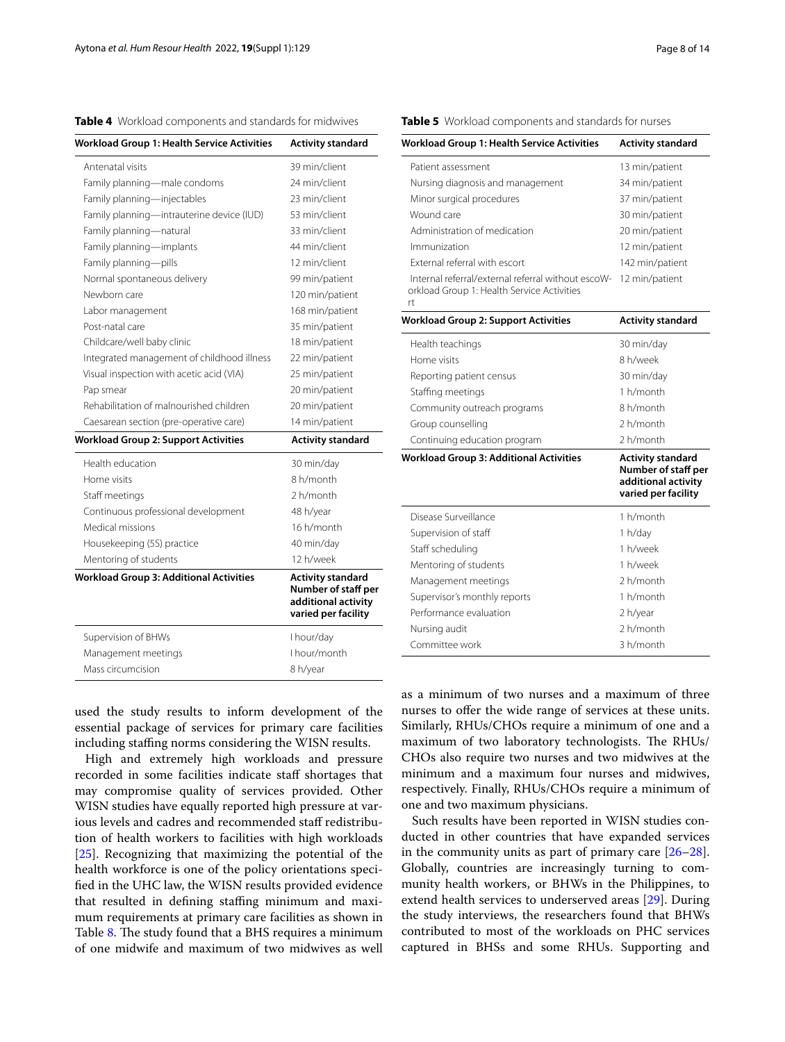<span id="page-7-0"></span>**Table 4** Workload components and standards for midwives

| <b>Workload Group 1: Health Service Activities</b> | <b>Activity standard</b>                                               |
|----------------------------------------------------|------------------------------------------------------------------------|
| Antenatal visits                                   | 39 min/client                                                          |
| Family planning-male condoms                       | 24 min/client                                                          |
| Family planning-injectables                        | 23 min/client                                                          |
| Family planning—intrauterine device (IUD)          | 53 min/client                                                          |
| Family planning-natural                            | 33 min/client                                                          |
| Family planning—implants                           | 44 min/client                                                          |
| Family planning-pills                              | 12 min/client                                                          |
| Normal spontaneous delivery                        | 99 min/patient                                                         |
| Newborn care                                       | 120 min/patient                                                        |
| Labor management                                   | 168 min/patient                                                        |
| Post-natal care                                    | 35 min/patient                                                         |
| Childcare/well baby clinic                         | 18 min/patient                                                         |
| Integrated management of childhood illness         | 22 min/patient                                                         |
| Visual inspection with acetic acid (VIA)           | 25 min/patient                                                         |
| Pap smear                                          | 20 min/patient                                                         |
| Rehabilitation of malnourished children            | 20 min/patient                                                         |
| Caesarean section (pre-operative care)             | 14 min/patient                                                         |
| <b>Workload Group 2: Support Activities</b>        | <b>Activity standard</b>                                               |
| Health education                                   | 30 min/day                                                             |
| Home visits                                        | 8 h/month                                                              |
| Staff meetings                                     | 2 h/month                                                              |
|                                                    |                                                                        |
| Continuous professional development                | 48 h/year                                                              |
| Medical missions                                   | 16 h/month                                                             |
| Housekeeping (5S) practice                         | 40 min/day                                                             |
| Mentoring of students                              | 12 h/week                                                              |
| <b>Workload Group 3: Additional Activities</b>     | <b>Activity standard</b><br>additional activity<br>varied per facility |
| Supervision of BHWs                                | I hour/day                                                             |
| Management meetings                                | Number of staff per<br>I hour/month                                    |
| Mass circumcision                                  | 8 h/year                                                               |

used the study results to inform development of the essential package of services for primary care facilities including staffing norms considering the WISN results.

High and extremely high workloads and pressure recorded in some facilities indicate staff shortages that may compromise quality of services provided. Other WISN studies have equally reported high pressure at various levels and cadres and recommended staff redistribution of health workers to facilities with high workloads [[25\]](#page-13-19). Recognizing that maximizing the potential of the health workforce is one of the policy orientations specifed in the UHC law, the WISN results provided evidence that resulted in defining staffing minimum and maximum requirements at primary care facilities as shown in Table [8](#page-12-0). The study found that a BHS requires a minimum of one midwife and maximum of two midwives as well

# <span id="page-7-1"></span>**Table 5** Workload components and standards for nurses

| <b>Workload Group 1: Health Service Activities</b>                                               | <b>Activity standard</b>                                                                      |
|--------------------------------------------------------------------------------------------------|-----------------------------------------------------------------------------------------------|
| Patient assessment                                                                               | 13 min/patient                                                                                |
| Nursing diagnosis and management                                                                 | 34 min/patient                                                                                |
| Minor surgical procedures                                                                        | 37 min/patient                                                                                |
| Wound care                                                                                       | 30 min/patient                                                                                |
| Administration of medication                                                                     | 20 min/patient                                                                                |
| Immunization                                                                                     | 12 min/patient                                                                                |
| External referral with escort                                                                    | 142 min/patient                                                                               |
| Internal referral/external referral without escoW-<br>orkload Group 1: Health Service Activities | 12 min/patient                                                                                |
| rt                                                                                               |                                                                                               |
| <b>Workload Group 2: Support Activities</b>                                                      | <b>Activity standard</b>                                                                      |
| Health teachings                                                                                 | 30 min/day                                                                                    |
| Home visits                                                                                      | 8 h/week                                                                                      |
| Reporting patient census                                                                         | 30 min/day                                                                                    |
| Staffing meetings                                                                                | 1 h/month                                                                                     |
| Community outreach programs                                                                      | 8 h/month                                                                                     |
| Group counselling                                                                                | 2 h/month                                                                                     |
| Continuing education program                                                                     | 2 h/month                                                                                     |
| <b>Workload Group 3: Additional Activities</b>                                                   | <b>Activity standard</b><br>Number of staff per<br>additional activity<br>varied per facility |
| Disease Surveillance                                                                             | 1 h/month                                                                                     |
| Supervision of staff                                                                             | 1 h/day                                                                                       |
| Staff scheduling                                                                                 | 1 h/week                                                                                      |
| Mentoring of students                                                                            | 1 h/week                                                                                      |
| Management meetings                                                                              | 2 h/month                                                                                     |
| Supervisor's monthly reports                                                                     | 1 h/month                                                                                     |
| Performance evaluation                                                                           | 2 h/year                                                                                      |
| Nursing audit                                                                                    | 2 h/month                                                                                     |
| Committee work                                                                                   | 3 h/month                                                                                     |

as a minimum of two nurses and a maximum of three nurses to ofer the wide range of services at these units. Similarly, RHUs/CHOs require a minimum of one and a maximum of two laboratory technologists. The RHUs/ CHOs also require two nurses and two midwives at the minimum and a maximum four nurses and midwives, respectively. Finally, RHUs/CHOs require a minimum of one and two maximum physicians.

Such results have been reported in WISN studies conducted in other countries that have expanded services in the community units as part of primary care  $[26-28]$  $[26-28]$  $[26-28]$ . Globally, countries are increasingly turning to community health workers, or BHWs in the Philippines, to extend health services to underserved areas [\[29\]](#page-13-22). During the study interviews, the researchers found that BHWs contributed to most of the workloads on PHC services captured in BHSs and some RHUs. Supporting and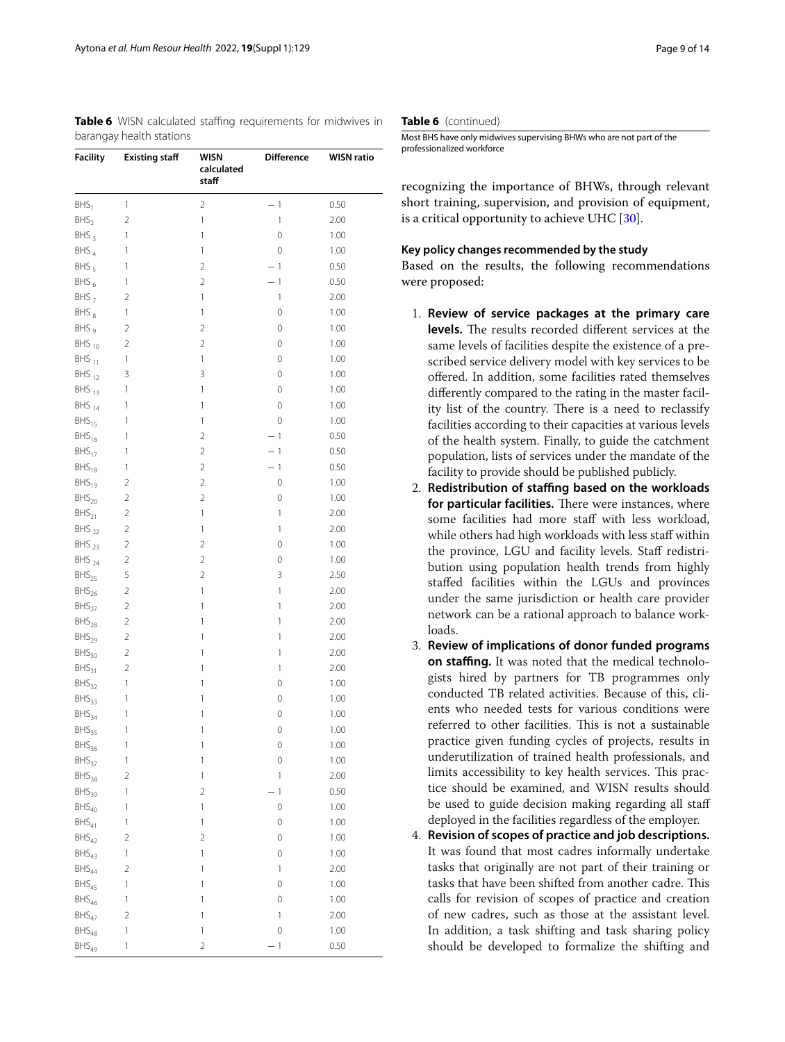<span id="page-8-0"></span>**Table 6** WISN calculated staffing requirements for midwives in barangay health stations

| <b>Facility</b>          | <b>Existing staff</b>                 | WISN<br>calculated<br>staff | <b>Difference</b>   | <b>WISN ratio</b> |
|--------------------------|---------------------------------------|-----------------------------|---------------------|-------------------|
| BHS <sub>1</sub>         | 1                                     | $\overline{2}$              | $-1$                | 0.50              |
| BHS <sub>2</sub>         | $\overline{2}$                        | 1                           | 1                   | 2.00              |
| $BHS_3$                  | 1                                     | 1                           | 0                   | 1.00              |
| $BHS_4$                  | 1                                     | 1                           | 0                   | 1.00              |
| $BHS_5$                  | 1                                     | $\overline{2}$              | $-1$                | 0.50              |
| BHS <sub>6</sub>         | 1                                     | $\overline{2}$              | $-1$                | 0.50              |
| $BHS_7$                  | 2                                     | 1                           | 1                   | 2.00              |
| BHS <sub>8</sub>         | 1                                     | 1                           | 0                   | 1.00              |
| BHS <sub>9</sub>         | 2                                     | $\overline{2}$              | 0                   | 1.00              |
| $BHS_{10}$               | 2                                     | $\overline{2}$              | 0                   | 1.00              |
| $BHS_{11}$               | 1                                     | 1                           | 0                   | 1.00              |
| $BHS_{12}$               | 3                                     | 3                           | 0                   | 1.00              |
| $BHS_{13}$               | 1                                     | 1                           | 0                   | 1.00              |
| $BHS_{14}$               | 1                                     | 1                           | 0                   | 1.00              |
| $BHS_{15}$               | 1                                     | 1                           | 0                   | 1.00              |
| $BHS_{16}$               | 1                                     | $\overline{2}$              | $-1$                | 0.50              |
| $BHS_{17}$               | 1                                     | $\overline{2}$              | $-1$                | 0.50              |
| $BHS_{18}$               | 1                                     | $\overline{2}$              | $-1$                | 0.50              |
| $BHS_{19}$               | 2                                     | $\overline{2}$              | 0                   | 1.00              |
| $BHS_{20}$               | 2                                     | $\overline{2}$              | 0                   | 1.00              |
| $BHS_{21}$               | $\overline{2}$                        | 1                           | 1                   | 2.00              |
| BHS <sub>22</sub>        | $\overline{2}$                        | 1                           | 1                   | 2.00              |
|                          | $\overline{2}$                        | $\overline{2}$              | 0                   | 1.00              |
| $BHS_{23}$<br>$BHS_{24}$ |                                       | $\overline{2}$              |                     |                   |
|                          | $\overline{2}$                        | $\overline{2}$              | 0<br>3              | 1.00              |
| $BHS_{25}$               | 5                                     |                             | 1                   | 2.50              |
| $BHS_{26}$               | $\overline{2}$                        | 1                           |                     | 2.00              |
| $BHS_{27}$               | $\overline{2}$                        | 1                           | 1                   | 2.00              |
| $BHS_{28}$               | $\overline{2}$                        | 1                           | 1                   | 2.00              |
| $BHS_{29}$               | $\overline{2}$                        | 1                           | 1                   | 2.00              |
| $BHS_{30}$               | $\overline{2}$                        | 1                           | 1                   | 2.00              |
| $BHS_{31}$               | $\overline{2}$                        | 1                           | 1                   | 2.00              |
| $BHS_{32}$               | 1                                     | 1                           | 0                   | 1.00              |
| $BHS_{33}$               | 1                                     | 1                           | 0                   | 1.00              |
| $BHS_{34}$               | 1                                     | 1                           | 0                   | 1.00              |
| $BHS_{35}$               | 1                                     | 1                           | 0                   | 1.00              |
| $BHS_{36}$               | 1                                     | 1                           | 0                   | 1.00              |
| $BHS_{37}$               | 1                                     | 1                           | $\mathsf{O}\xspace$ | 1.00              |
| $BHS_{38}$               | $\overline{2}$                        | 1                           | 1                   | 2.00              |
| $BHS_{39}$               | 1                                     | $\sqrt{2}$                  | $-1$                | 0.50              |
| $BHS_{40}$               | 1                                     | 1                           | $\mathsf{O}\xspace$ | 1.00              |
| $BHS_{41}$               | 1                                     | 1                           | 0                   | 1.00              |
| $BHS_{42}$               | 2                                     | $\sqrt{2}$                  | 0                   | 1.00              |
| $BHS_{43}$               | 1                                     | 1                           | 0                   | 1.00              |
| $BHS_{44}$               | $\overline{2}$                        | 1                           | 1                   | 2.00              |
| $BHS_{45}$               | 1                                     | 1                           | 0                   | 1.00              |
| $BHS_{46}$               | 1                                     | 1                           | 0                   | 1.00              |
| $BHS_{47}$               | $\overline{2}$                        | 1                           | 1                   | 2.00              |
| $BHS_{48}$               | 1                                     | 1                           | 0                   | 1.00              |
| $BHS_{49}$               | $\begin{array}{c} \hline \end{array}$ | $\overline{c}$              | $-1$                | 0.50              |

## **Table 6** (continued)

Most BHS have only midwives supervising BHWs who are not part of the professionalized workforce

recognizing the importance of BHWs, through relevant short training, supervision, and provision of equipment, is a critical opportunity to achieve UHC [[30\]](#page-13-23).

# **Key policy changes recommended by the study**

Based on the results, the following recommendations were proposed:

- 1. **Review of service packages at the primary care**  levels. The results recorded different services at the same levels of facilities despite the existence of a prescribed service delivery model with key services to be ofered. In addition, some facilities rated themselves diferently compared to the rating in the master facility list of the country. There is a need to reclassify facilities according to their capacities at various levels of the health system. Finally, to guide the catchment population, lists of services under the mandate of the facility to provide should be published publicly.
- 2. **Redistribution of stafng based on the workloads for particular facilities.** There were instances, where some facilities had more staff with less workload, while others had high workloads with less staff within the province, LGU and facility levels. Staff redistribution using population health trends from highly stafed facilities within the LGUs and provinces under the same jurisdiction or health care provider network can be a rational approach to balance workloads.
- 3. **Review of implications of donor funded programs on stafng.** It was noted that the medical technologists hired by partners for TB programmes only conducted TB related activities. Because of this, clients who needed tests for various conditions were referred to other facilities. This is not a sustainable practice given funding cycles of projects, results in underutilization of trained health professionals, and limits accessibility to key health services. This practice should be examined, and WISN results should be used to guide decision making regarding all staff deployed in the facilities regardless of the employer.
- 4. **Revision of scopes of practice and job descriptions.** It was found that most cadres informally undertake tasks that originally are not part of their training or tasks that have been shifted from another cadre. This calls for revision of scopes of practice and creation of new cadres, such as those at the assistant level. In addition, a task shifting and task sharing policy should be developed to formalize the shifting and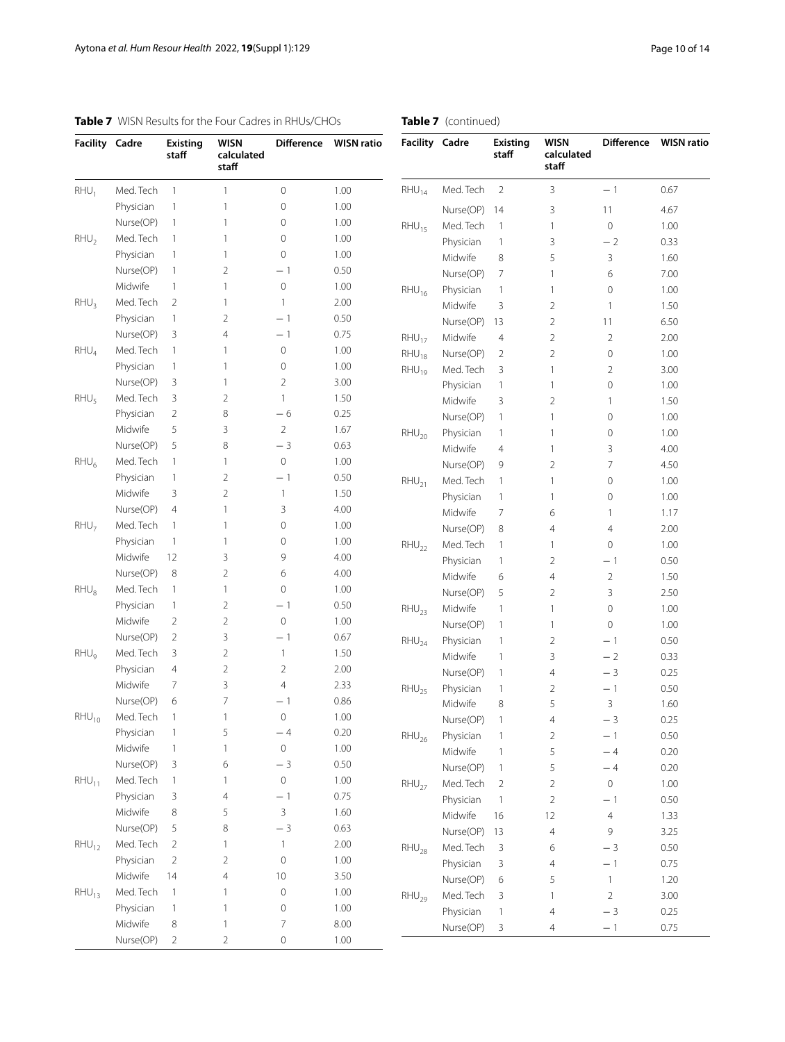| <b>Facility</b>  | Cadre     | Existing<br>staff | WISN<br>calculated<br>staff | <b>Difference</b> | <b>WISN ratio</b> |
|------------------|-----------|-------------------|-----------------------------|-------------------|-------------------|
| $RHU_1$          | Med. Tech | 1                 | 1                           | 0                 | 1.00              |
|                  | Physician | 1                 | 1                           | 0                 | 1.00              |
|                  | Nurse(OP) | 1                 | 1                           | 0                 | 1.00              |
| $RHU_2$          | Med. Tech | 1                 | 1                           | 0                 | 1.00              |
|                  | Physician | 1                 | 1                           | 0                 | 1.00              |
|                  | Nurse(OP) | 1                 | $\overline{2}$              | $-1$              | 0.50              |
|                  | Midwife   | 1                 | 1                           | 0                 | 1.00              |
| $RHU_3$          | Med. Tech | $\overline{2}$    | 1                           | 1                 | 2.00              |
|                  | Physician | 1                 | $\overline{2}$              | $-1$              | 0.50              |
|                  | Nurse(OP) | 3                 | 4                           | $-1$              | 0.75              |
| $RHU_4$          | Med. Tech | 1                 | 1                           | 0                 | 1.00              |
|                  | Physician | 1                 | 1                           | 0                 | 1.00              |
|                  | Nurse(OP) | 3                 | 1                           | $\overline{2}$    | 3.00              |
| $RHU_{5}$        | Med. Tech | 3                 | 2                           | 1                 | 1.50              |
|                  | Physician | $\overline{2}$    | 8                           | - 6               | 0.25              |
|                  | Midwife   | 5                 | 3                           | $\overline{2}$    | 1.67              |
|                  | Nurse(OP) | 5                 | 8                           | - 3               | 0.63              |
| $RHU_6$          | Med. Tech | 1                 | 1                           | 0                 | 1.00              |
|                  | Physician | 1                 | $\overline{2}$              | - 1               | 0.50              |
|                  | Midwife   | 3                 | $\overline{2}$              | 1                 | 1.50              |
|                  | Nurse(OP) | 4                 | 1                           | 3                 | 4.00              |
| RHU <sub>7</sub> | Med. Tech | 1                 | 1                           | 0                 | 1.00              |
|                  | Physician | 1                 | 1                           | 0                 | 1.00              |
|                  | Midwife   | 12                | 3                           | 9                 | 4.00              |
|                  | Nurse(OP) | 8                 | 2                           | 6                 | 4.00              |
| $RHU_8$          | Med. Tech | 1                 | 1                           | 0                 | 1.00              |
|                  | Physician | 1                 | 2                           | $-1$              | 0.50              |
|                  | Midwife   | 2                 | 2                           | 0                 | 1.00              |
|                  | Nurse(OP) | $\overline{2}$    | 3                           | $-1$              | 0.67              |
| $RHU_{9}$        | Med. Tech | 3                 | $\overline{2}$              | 1                 | 1.50              |
|                  | Physician | 4                 | $\overline{2}$              | $\overline{2}$    | 2.00              |
|                  | Midwife   | 7                 | 3                           | 4                 | 2.33              |
|                  | Nurse(OP) | 6                 | 7                           | - 1               | 0.86              |
| $RHU_{10}$       | Med. Tech | $\mathbf{1}$      | 1                           | 0                 | 1.00              |
|                  | Physician | 1                 | 5                           | - 4               | 0.20              |
|                  | Midwife   | $\mathbf{1}$      | 1                           | $\mathbf 0$       | 1.00              |
|                  | Nurse(OP) | 3                 | 6                           | $-3$              | 0.50              |
| $RHU_{11}$       | Med. Tech | $\mathbf{1}$      | 1                           | 0                 | 1.00              |
|                  | Physician | 3                 | 4                           | $-1$              | 0.75              |
|                  | Midwife   |                   |                             | 3                 |                   |
|                  | Nurse(OP) | 8                 | 5                           | $-3$              | 1.60              |
|                  |           | 5                 | 8                           |                   | 0.63              |
| $RHU_{12}$       | Med. Tech | $\overline{c}$    | 1                           | 1                 | 2.00              |
|                  | Physician | $\overline{c}$    | $\overline{c}$              | 0                 | 1.00              |
|                  | Midwife   | 14                | $\overline{4}$              | 10                | 3.50              |
| $RHU_{13}$       | Med. Tech | $\mathbf{1}$      | 1                           | 0                 | 1.00              |

Physician 1 1 0 1.00 Midwife 8 1 7 8.00 Nurse(OP) 2 2 0 1.00

| <b>Facility</b> | Cadre     | <b>Existing</b><br>staff | <b>WISN</b><br>calculated<br>staff | <b>Difference</b> | <b>WISN ratio</b> |
|-----------------|-----------|--------------------------|------------------------------------|-------------------|-------------------|
| $RHU_{14}$      | Med. Tech | $\overline{2}$           | 3                                  | $-1$              | 0.67              |
|                 | Nurse(OP) | 14                       | 3                                  | 11                | 4.67              |
| $RHU_{15}$      | Med. Tech | 1                        | 1                                  | $\mathbf 0$       | 1.00              |
|                 | Physician | 1                        | 3                                  | $-2$              | 0.33              |
|                 | Midwife   | 8                        | 5                                  | 3                 | 1.60              |
|                 | Nurse(OP) | 7                        | 1                                  | 6                 | 7.00              |
| $RHU_{16}$      | Physician | 1                        | 1                                  | $\mathbf 0$       | 1.00              |
|                 | Midwife   | 3                        | $\overline{2}$                     | 1                 | 1.50              |
|                 | Nurse(OP) | 13                       | $\overline{2}$                     | 11                | 6.50              |
| $RHU_{17}$      | Midwife   | $\overline{4}$           | $\overline{2}$                     | $\overline{2}$    | 2.00              |
| $RHU_{18}$      | Nurse(OP) | $\overline{2}$           | $\overline{2}$                     | $\mathbf 0$       | 1.00              |
| $RHU_{19}$      | Med. Tech | 3                        | 1                                  | $\overline{2}$    | 3.00              |
|                 | Physician | 1                        | 1                                  | $\mathbf 0$       | 1.00              |
|                 | Midwife   | 3                        | 2                                  | 1                 | 1.50              |
|                 | Nurse(OP) | 1                        | 1                                  | 0                 | 1.00              |
| $RHU_{20}$      | Physician | 1                        | 1                                  | 0                 | 1.00              |
|                 | Midwife   | 4                        | 1                                  | 3                 | 4.00              |
|                 | Nurse(OP) | 9                        | $\overline{2}$                     | 7                 | 4.50              |
| $RHU_{21}$      | Med. Tech | 1                        | 1                                  | $\mathbf 0$       | 1.00              |
|                 | Physician | 1                        | 1                                  | 0                 | 1.00              |
|                 | Midwife   | 7                        | 6                                  | $\mathbf{1}$      | 1.17              |
|                 | Nurse(OP) | 8                        | $\overline{4}$                     | $\overline{4}$    | 2.00              |
| $RHU_{22}$      | Med. Tech | 1                        | 1                                  | $\mathbf 0$       | 1.00              |
|                 | Physician | 1                        | 2                                  | $-1$              | 0.50              |
|                 | Midwife   | 6                        | $\overline{4}$                     | $\overline{2}$    | 1.50              |
|                 | Nurse(OP) | 5                        | $\overline{2}$                     | 3                 | 2.50              |
| $RHU_{23}$      | Midwife   | 1                        | 1                                  | $\mathbf 0$       | 1.00              |
|                 | Nurse(OP) | 1                        | 1                                  | $\Omega$          | 1.00              |
| $RHU_{24}$      | Physician | 1                        | 2                                  | - 1               | 0.50              |
|                 | Midwife   | 1                        | 3                                  | $-2$              | 0.33              |
|                 | Nurse(OP) | 1                        | $\overline{4}$                     | $-3$              | 0.25              |
| $RHU_{25}$      | Physician | 1                        | $\overline{2}$                     | $-1$              | 0.50              |
|                 | Midwife   | 8                        | 5                                  | 3                 | 1.60              |

Nurse(OP) 1 4 − 3 0.25<br>Physician 1 2 − 1 0.50  $RHU_{26}$  Physician 1 2 − 1 0.50<br>Midwife 1 5 − 4 0.20 Midwife 1  $5 - 4$  0.20<br>Nurse(OP) 1  $5 - 4$  0.20 Nurse(OP) 1 5 − 4 0.20<br>
Med. Tech 2 2 0 1.00

> Physician 1 2 − 1 0.50<br>Midwife 16 12 4 1.33 Midwife 16 12 4 1.33 Nurse(OP) 13 4 9 3.25

> Physician 1 4 − 3 0.25<br>Nurse(OP) 3 4 − 1 0.75

 $RHU_{28}$  Med. Tech 3 6 − 3 0.50<br>Physician 3 4 − 1 0.75 Physician 3 4 − 1 0.75<br>Nurse(OP) 6 5 1 1.20

 $RHU_{29}$  Med. Tech 3 1 2 3.00

 $RHU_{27}$  Med. Tech 2

 $Nurse(OP) 6$ 

Nurse(OP)

# <span id="page-9-0"></span>**Table 7** WISN Results for the Four Cadres in RHUs/CHOs

# **Table 7** (continued)

 $\overline{a}$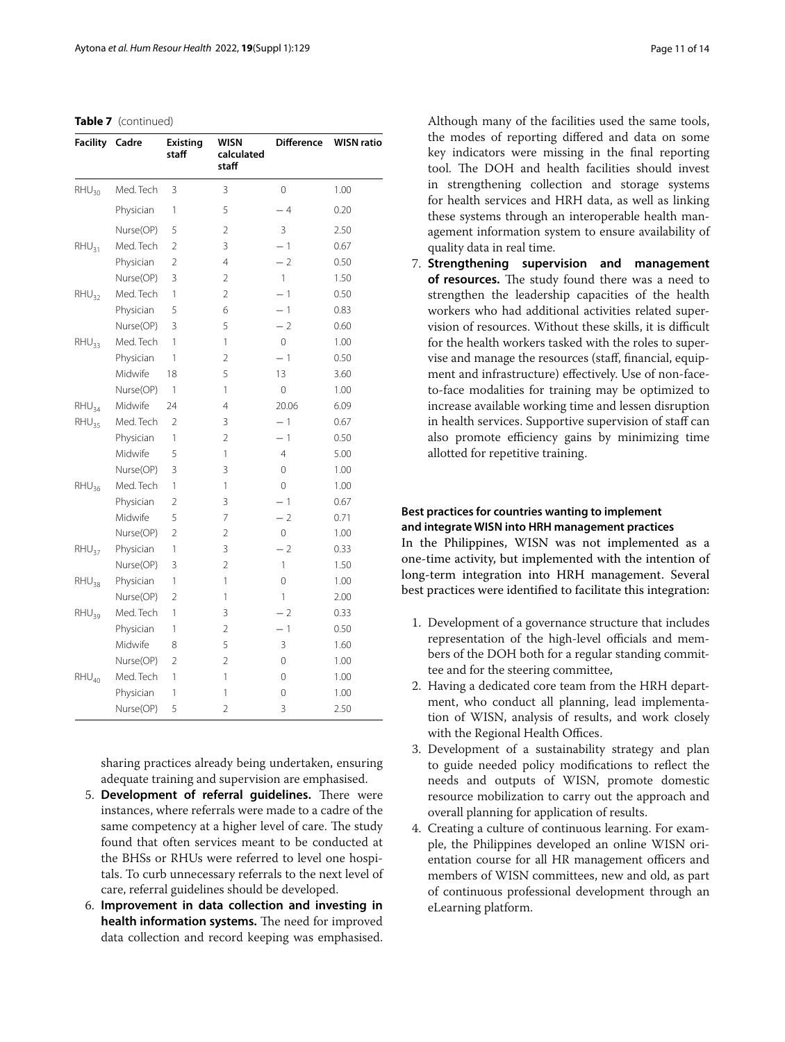## **Table 7** (continued)

| <b>Facility Cadre</b> |           | Existing<br>staff | WISN<br>calculated<br>staff | <b>Difference</b> | <b>WISN ratio</b> |
|-----------------------|-----------|-------------------|-----------------------------|-------------------|-------------------|
| $RHU_{30}$            | Med. Tech | 3                 | 3                           | $\Omega$          | 1.00              |
|                       | Physician | 1                 | 5                           | $-4$              | 0.20              |
|                       | Nurse(OP) | 5                 | 2                           | 3                 | 2.50              |
| $RHU_{31}$            | Med. Tech | $\overline{2}$    | 3                           | $-1$              | 0.67              |
|                       | Physician | $\overline{2}$    | 4                           | $-2$              | 0.50              |
|                       | Nurse(OP) | 3                 | 2                           | $\mathbf{1}$      | 1.50              |
| $RHU_{32}$            | Med. Tech | 1                 | $\overline{2}$              | $-1$              | 0.50              |
|                       | Physician | 5                 | 6                           | $-1$              | 0.83              |
|                       | Nurse(OP) | 3                 | 5                           | $-2$              | 0.60              |
| RHU <sub>33</sub>     | Med. Tech | 1                 | 1                           | 0                 | 1.00              |
|                       | Physician | 1                 | $\overline{2}$              | $-1$              | 0.50              |
|                       | Midwife   | 18                | 5                           | 13                | 3.60              |
|                       | Nurse(OP) | 1                 | 1                           | 0                 | 1.00              |
| $RHU_{34}$            | Midwife   | 24                | 4                           | 20.06             | 6.09              |
| RHU <sub>35</sub>     | Med. Tech | 2                 | 3                           | $-1$              | 0.67              |
|                       | Physician | 1                 | $\overline{2}$              | $-1$              | 0.50              |
|                       | Midwife   | 5                 | 1                           | $\overline{4}$    | 5.00              |
|                       | Nurse(OP) | 3                 | 3                           | 0                 | 1.00              |
| $RHU_{36}$            | Med. Tech | 1                 | 1                           | 0                 | 1.00              |
|                       | Physician | 2                 | 3                           | $-1$              | 0.67              |
|                       | Midwife   | 5                 | 7                           | $-2$              | 0.71              |
|                       | Nurse(OP) | $\overline{2}$    | 2                           | 0                 | 1.00              |
| $RHU_{37}$            | Physician | 1                 | 3                           | $-2$              | 0.33              |
|                       | Nurse(OP) | 3                 | $\overline{2}$              | 1                 | 1.50              |
| $RHU_{38}$            | Physician | 1                 | 1                           | $\mathbf 0$       | 1.00              |
|                       | Nurse(OP) | 2                 | 1                           | $\mathbf{1}$      | 2.00              |
| RHU <sub>39</sub>     | Med. Tech | 1                 | 3                           | $-2$              | 0.33              |
|                       | Physician | 1                 | 2                           | $-1$              | 0.50              |
|                       | Midwife   | 8                 | 5                           | 3                 | 1.60              |
|                       | Nurse(OP) | 2                 | $\overline{2}$              | 0                 | 1.00              |
| $RHU_{40}$            | Med. Tech | 1                 | 1                           | 0                 | 1.00              |
|                       | Physician | 1                 | 1                           | 0                 | 1.00              |
|                       | Nurse(OP) | 5                 | 2                           | 3                 | 2.50              |

sharing practices already being undertaken, ensuring adequate training and supervision are emphasised.

- 5. Development of referral quidelines. There were instances, where referrals were made to a cadre of the same competency at a higher level of care. The study found that often services meant to be conducted at the BHSs or RHUs were referred to level one hospitals. To curb unnecessary referrals to the next level of care, referral guidelines should be developed.
- 6. **Improvement in data collection and investing in**  health information systems. The need for improved data collection and record keeping was emphasised.

Although many of the facilities used the same tools, the modes of reporting difered and data on some key indicators were missing in the fnal reporting tool. The DOH and health facilities should invest in strengthening collection and storage systems for health services and HRH data, as well as linking these systems through an interoperable health management information system to ensure availability of quality data in real time.

7. **Strengthening supervision and management**  of resources. The study found there was a need to strengthen the leadership capacities of the health workers who had additional activities related supervision of resources. Without these skills, it is difficult for the health workers tasked with the roles to supervise and manage the resources (staf, fnancial, equipment and infrastructure) efectively. Use of non-faceto-face modalities for training may be optimized to increase available working time and lessen disruption in health services. Supportive supervision of staf can also promote efficiency gains by minimizing time allotted for repetitive training.

# **Best practices for countries wanting to implement and integrate WISN into HRH management practices**

In the Philippines, WISN was not implemented as a one-time activity, but implemented with the intention of long-term integration into HRH management. Several best practices were identifed to facilitate this integration:

- 1. Development of a governance structure that includes representation of the high-level officials and members of the DOH both for a regular standing committee and for the steering committee,
- 2. Having a dedicated core team from the HRH department, who conduct all planning, lead implementation of WISN, analysis of results, and work closely with the Regional Health Offices.
- 3. Development of a sustainability strategy and plan to guide needed policy modifcations to refect the needs and outputs of WISN, promote domestic resource mobilization to carry out the approach and overall planning for application of results.
- 4. Creating a culture of continuous learning. For example, the Philippines developed an online WISN orientation course for all HR management officers and members of WISN committees, new and old, as part of continuous professional development through an eLearning platform.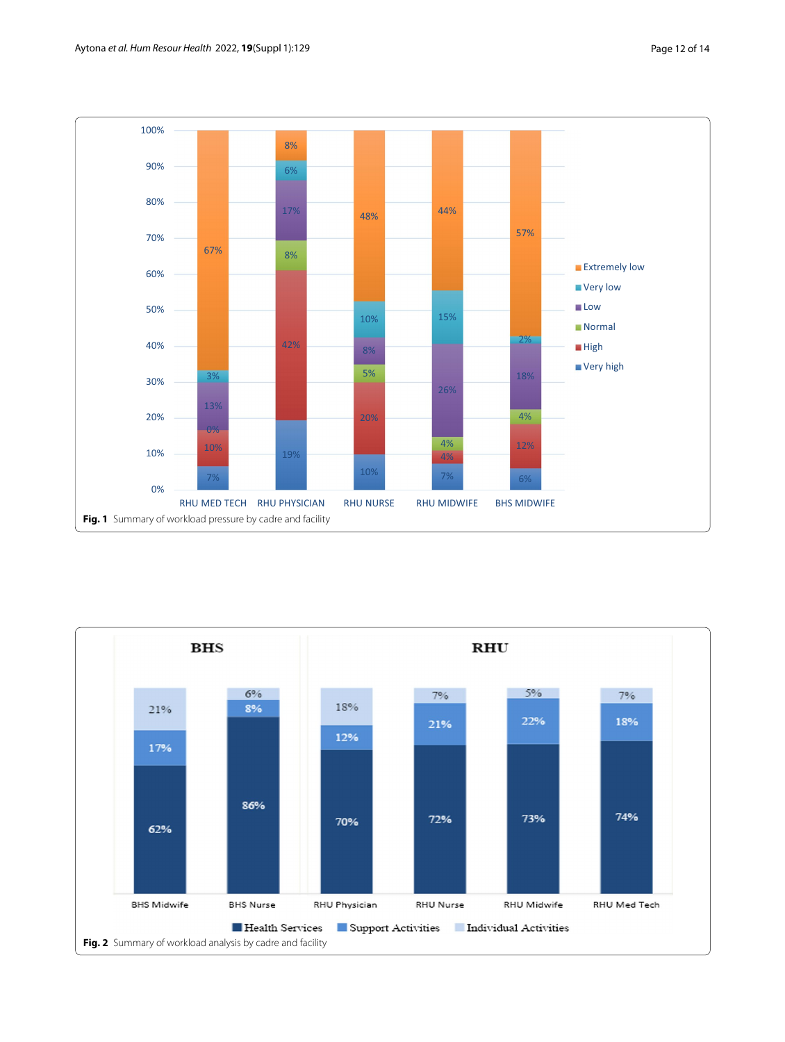

<span id="page-11-1"></span><span id="page-11-0"></span>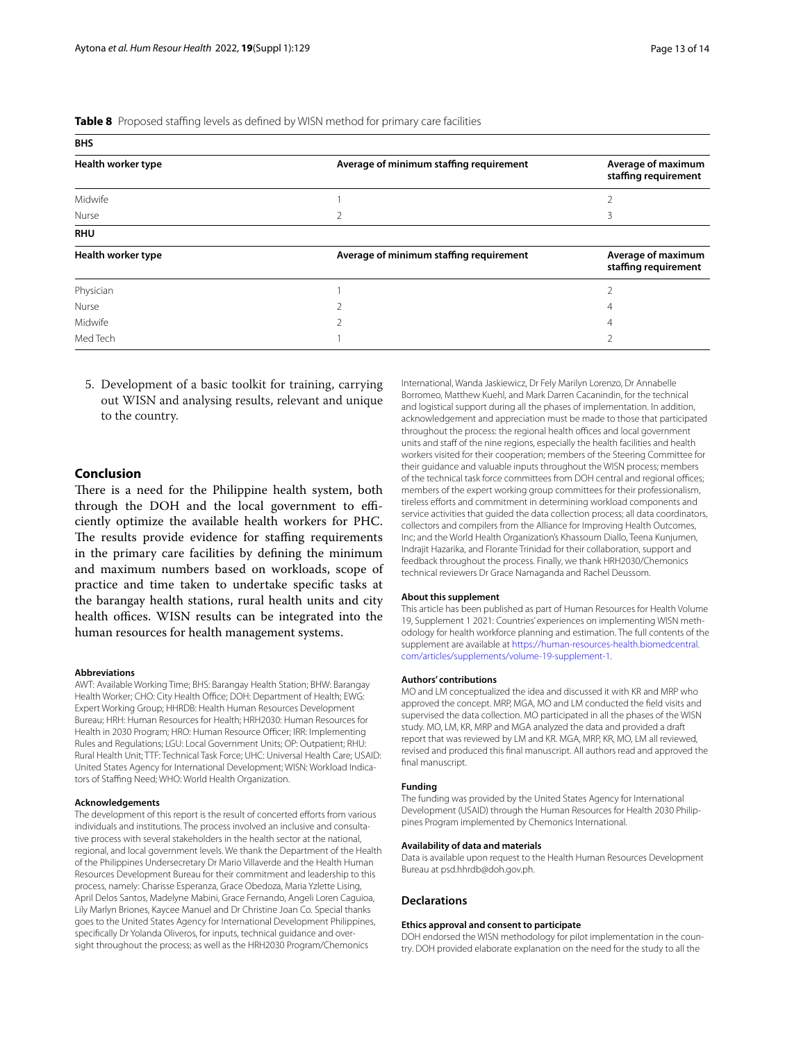<span id="page-12-0"></span>

| <b>BHS</b>         |                                         |                                            |
|--------------------|-----------------------------------------|--------------------------------------------|
| Health worker type | Average of minimum staffing requirement | Average of maximum<br>staffing requirement |
| Midwife            |                                         |                                            |
| Nurse              | 2                                       |                                            |
| <b>RHU</b>         |                                         |                                            |
| Health worker type | Average of minimum staffing requirement | Average of maximum<br>staffing requirement |
| Physician          |                                         |                                            |
| Nurse              |                                         | 4                                          |
| Midwife            |                                         | 4                                          |
| Med Tech           |                                         |                                            |

5. Development of a basic toolkit for training, carrying out WISN and analysing results, relevant and unique to the country.

# **Conclusion**

There is a need for the Philippine health system, both through the DOH and the local government to efficiently optimize the available health workers for PHC. The results provide evidence for staffing requirements in the primary care facilities by defning the minimum and maximum numbers based on workloads, scope of practice and time taken to undertake specifc tasks at the barangay health stations, rural health units and city health offices. WISN results can be integrated into the human resources for health management systems.

#### **Abbreviations**

AWT: Available Working Time; BHS: Barangay Health Station; BHW: Barangay Health Worker; CHO: City Health Office; DOH: Department of Health; EWG: Expert Working Group; HHRDB: Health Human Resources Development Bureau; HRH: Human Resources for Health; HRH2030: Human Resources for Health in 2030 Program; HRO: Human Resource Officer; IRR: Implementing Rules and Regulations; LGU: Local Government Units; OP: Outpatient; RHU: Rural Health Unit; TTF: Technical Task Force; UHC: Universal Health Care; USAID: United States Agency for International Development; WISN: Workload Indicators of Staffing Need; WHO: World Health Organization.

## **Acknowledgements**

The development of this report is the result of concerted efforts from various individuals and institutions. The process involved an inclusive and consultative process with several stakeholders in the health sector at the national, regional, and local government levels. We thank the Department of the Health of the Philippines Undersecretary Dr Mario Villaverde and the Health Human Resources Development Bureau for their commitment and leadership to this process, namely: Charisse Esperanza, Grace Obedoza, Maria Yzlette Lising, April Delos Santos, Madelyne Mabini, Grace Fernando, Angeli Loren Caguioa, Lily Marlyn Briones, Kaycee Manuel and Dr Christine Joan Co. Special thanks goes to the United States Agency for International Development Philippines, specifcally Dr Yolanda Oliveros, for inputs, technical guidance and oversight throughout the process; as well as the HRH2030 Program/Chemonics

International, Wanda Jaskiewicz, Dr Fely Marilyn Lorenzo, Dr Annabelle Borromeo, Matthew Kuehl, and Mark Darren Cacanindin, for the technical and logistical support during all the phases of implementation. In addition, acknowledgement and appreciation must be made to those that participated throughout the process: the regional health offices and local government units and staf of the nine regions, especially the health facilities and health workers visited for their cooperation; members of the Steering Committee for their guidance and valuable inputs throughout the WISN process; members of the technical task force committees from DOH central and regional offices; members of the expert working group committees for their professionalism, tireless efforts and commitment in determining workload components and service activities that guided the data collection process; all data coordinators, collectors and compilers from the Alliance for Improving Health Outcomes, Inc; and the World Health Organization's Khassoum Diallo, Teena Kunjumen, Indrajit Hazarika, and Florante Trinidad for their collaboration, support and feedback throughout the process. Finally, we thank HRH2030/Chemonics technical reviewers Dr Grace Namaganda and Rachel Deussom.

## **About this supplement**

This article has been published as part of Human Resources for Health Volume 19, Supplement 1 2021: Countries' experiences on implementing WISN methodology for health workforce planning and estimation. The full contents of the supplement are available at [https://human-resources-health.biomedcentral.](https://human-resources-health.biomedcentral.com/articles/supplements/volume-19-supplement-1) [com/articles/supplements/volume-19-supplement-1](https://human-resources-health.biomedcentral.com/articles/supplements/volume-19-supplement-1).

## **Authors' contributions**

MO and LM conceptualized the idea and discussed it with KR and MRP who approved the concept. MRP, MGA, MO and LM conducted the feld visits and supervised the data collection. MO participated in all the phases of the WISN study. MO, LM, KR, MRP and MGA analyzed the data and provided a draft report that was reviewed by LM and KR. MGA, MRP, KR, MO, LM all reviewed, revised and produced this fnal manuscript. All authors read and approved the fnal manuscript.

#### **Funding**

The funding was provided by the United States Agency for International Development (USAID) through the Human Resources for Health 2030 Philippines Program implemented by Chemonics International.

#### **Availability of data and materials**

Data is available upon request to the Health Human Resources Development Bureau at psd.hhrdb@doh.gov.ph.

### **Declarations**

#### **Ethics approval and consent to participate**

DOH endorsed the WISN methodology for pilot implementation in the country. DOH provided elaborate explanation on the need for the study to all the